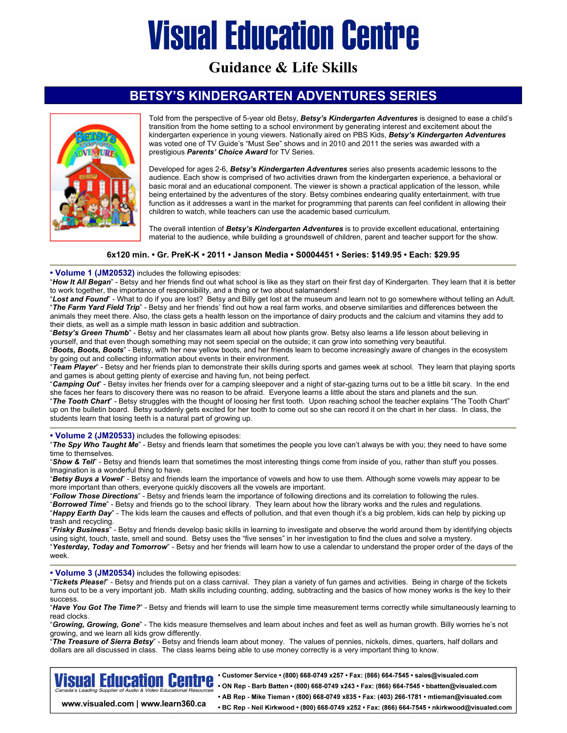# **Visual Education Centre**

**Guidance & Life Skills** 

### **BETSY'S KINDERGARTEN ADVENTURES SERIES**



Told from the perspective of 5-year old Betsy, *Betsy's Kindergarten Adventures* is designed to ease a child's transition from the home setting to a school environment by generating interest and excitement about the kindergarten experience in young viewers. Nationally aired on PBS Kids, *Betsy's Kindergarten Adventures* was voted one of TV Guide's "Must See" shows and in 2010 and 2011 the series was awarded with a prestigious *Parents' Choice Award* for TV Series.

Developed for ages 2-6, *Betsy's Kindergarten Adventures* series also presents academic lessons to the audience. Each show is comprised of two activities drawn from the kindergarten experience, a behavioral or basic moral and an educational component. The viewer is shown a practical application of the lesson, while being entertained by the adventures of the story. Betsy combines endearing quality entertainment, with true function as it addresses a want in the market for programming that parents can feel confident in allowing their children to watch, while teachers can use the academic based curriculum.

The overall intention of *Betsy's Kindergarten Adventures* is to provide excellent educational, entertaining material to the audience, while building a groundswell of children, parent and teacher support for the show.

#### **6x120 min. • Gr. PreK-K • 2011 • Janson Media • S0004451 • Series: \$149.95 • Each: \$29.95**

#### **• Volume 1 (JM20532)** includes the following episodes:

"*How It All Began*" - Betsy and her friends find out what school is like as they start on their first day of Kindergarten. They learn that it is better to work together, the importance of responsibility, and a thing or two about salamanders!

"Lost and Found" - What to do if you are lost? Betsy and Billy get lost at the museum and learn not to go somewhere without telling an Adult. "*The Farm Yard Field Trip*" - Betsy and her friends' find out how a real farm works, and observe similarities and differences between the animals they meet there. Also, the class gets a health lesson on the importance of dairy products and the calcium and vitamins they add to their diets, as well as a simple math lesson in basic addition and subtraction.

"*Betsy's Green Thumb*" - Betsy and her classmates learn all about how plants grow. Betsy also learns a life lesson about believing in yourself, and that even though something may not seem special on the outside; it can grow into something very beautiful. "*Boots, Boots, Boots*" - Betsy, with her new yellow boots, and her friends learn to become increasingly aware of changes in the ecosystem

by going out and collecting information about events in their environment. "*Team Player*" - Betsy and her friends plan to demonstrate their skills during sports and games week at school. They learn that playing sports and games is about getting plenty of exercise and having fun, not being perfect.

"*Camping Out*" - Betsy invites her friends over for a camping sleepover and a night of star-gazing turns out to be a little bit scary. In the end she faces her fears to discovery there was no reason to be afraid. Everyone learns a little about the stars and planets and the sun. "*The Tooth Chart*" - Betsy struggles with the thought of loosing her first tooth. Upon reaching school the teacher explains "The Tooth Chart" up on the bulletin board. Betsy suddenly gets excited for her tooth to come out so she can record it on the chart in her class. In class, the students learn that losing teeth is a natural part of growing up.

**• Volume 2 (JM20533)** includes the following episodes:

"*The Spy Who Taught Me*" - Betsy and friends learn that sometimes the people you love can't always be with you; they need to have some time to themselves.

"*Show & Tell*" - Betsy and friends learn that sometimes the most interesting things come from inside of you, rather than stuff you posses. Imagination is a wonderful thing to have.

"*Betsy Buys a Vowel*" - Betsy and friends learn the importance of vowels and how to use them. Although some vowels may appear to be more important than others, everyone quickly discovers all the vowels are important.

"*Follow Those Directions*" - Betsy and friends learn the importance of following directions and its correlation to following the rules.

"*Borrowed Time*" - Betsy and friends go to the school library. They learn about how the library works and the rules and regulations.

"*Happy Earth Day*" - The kids learn the causes and effects of pollution, and that even though it's a big problem, kids can help by picking up trash and recycling.

"*Frisky Business*" - Betsy and friends develop basic skills in learning to investigate and observe the world around them by identifying objects using sight, touch, taste, smell and sound. Betsy uses the "five senses" in her investigation to find the clues and solve a mystery. "*Yesterday, Today and Tomorrow*" - Betsy and her friends will learn how to use a calendar to understand the proper order of the days of the week.

**• Volume 3 (JM20534)** includes the following episodes:

"*Tickets Please!*" - Betsy and friends put on a class carnival. They plan a variety of fun games and activities. Being in charge of the tickets turns out to be a very important job. Math skills including counting, adding, subtracting and the basics of how money works is the key to their success.

"*Have You Got The Time?*" - Betsy and friends will learn to use the simple time measurement terms correctly while simultaneously learning to read clocks.

"*Growing, Growing, Gone*" - The kids measure themselves and learn about inches and feet as well as human growth. Billy worries he's not growing, and we learn all kids grow differently.

"*The Treasure of Sierra Betsy*" - Betsy and friends learn about money. The values of pennies, nickels, dimes, quarters, half dollars and dollars are all discussed in class. The class learns being able to use money correctly is a very important thing to know.